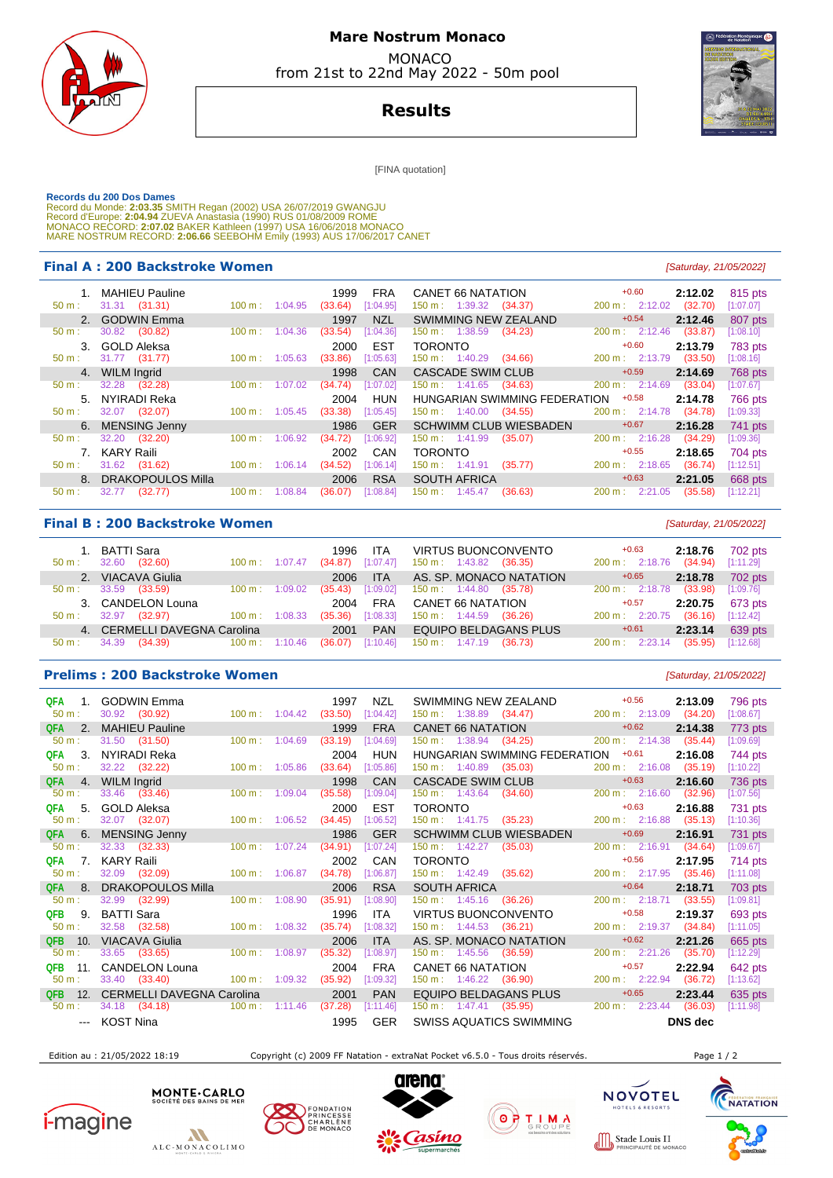

### **Mare Nostrum Monaco**  MONACO

from 21st to 22nd May 2022 - 50m pool

## **Results**

[FINA quotation]

 **Records du 200 Dos Dames**  Record du Monde: **2:03.35** SMITH Regan (2002) USA 26/07/2019 GWANGJU<br>Record d'Europe: 2**:04.94 ZUE**VA Anastasia (1990) RUS 01/08/2009 ROME<br>MONACO RECORD: **2:07.02** BAKER Kathleen (1997) USA 16/06/2018 MONACO MARE NOSTRUM RECORD: **2:06.66** SEEBOHM Emily (1993) AUS 17/06/2017 CANET

#### **Final A : 200 Backstroke Women Example 200 Backstroke Women Example 21/05/2022**

|                  | <b>MAHIEU Pauline</b> |                   |         | 1999    | <b>FRA</b> | CANET 66 NATATION                    | $+0.60$                  | 2:12.02 | 815 pts        |
|------------------|-----------------------|-------------------|---------|---------|------------|--------------------------------------|--------------------------|---------|----------------|
| $50 m$ :         | $31.31$ $(31.31)$     | 100 m:            | 1:04.95 | (33.64) | [1:04.95]  | $150 \text{ m}: 1:39.32$<br>(34.37)  | 200 m: 2:12.02           | (32.70) | [1:07.07]      |
|                  | 2. GODWIN Emma        |                   |         | 1997    | <b>NZL</b> | SWIMMING NEW ZEALAND                 | $+0.54$                  | 2:12.46 | 807 pts        |
| 50 m:            | 30.82<br>(30.82)      | 100 m:            | 1:04.36 | (33.54) | [1:04.36]  | 150 m: 1:38.59<br>(34.23)            | $200 \text{ m}: 2:12.46$ | (33.87) | [1:08.10]      |
|                  | 3. GOLD Aleksa        |                   |         | 2000    | <b>EST</b> | <b>TORONTO</b>                       | $+0.60$                  | 2:13.79 | <b>783 pts</b> |
| $50 m$ :         | 31.77 (31.77)         | $100 \text{ m}$ : | 1:05.63 | (33.86) | [1:05.63]  | $150 \text{ m}: 1:40.29$<br>(34.66)  | 200 m: 2:13.79           | (33.50) | [1:08.16]      |
| 4.               | <b>WILM Ingrid</b>    |                   |         | 1998    | CAN        | <b>CASCADE SWIM CLUB</b>             | $+0.59$                  | 2:14.69 | 768 pts        |
| 50 m:            | 32.28<br>(32.28)      | 100 m:            | 1:07.02 | (34.74) | [1:07.02]  | $150 \text{ m}: 1:41.65$<br>(34.63)  | 200 m: 2:14.69           | (33.04) | [1:07.67]      |
| $5 -$            | NYIRADI Reka          |                   |         | 2004    | <b>HUN</b> | HUNGARIAN SWIMMING FEDERATION        | $+0.58$                  | 2:14.78 | <b>766 pts</b> |
| $50 \text{ m}$ : | 32.07 (32.07)         | $100 \text{ m}$ : | 1:05.45 | (33.38) | [1:05.45]  | $150 \text{ m}: 1:40.00$<br>(34.55)  | $200 \text{ m}: 2:14.78$ | (34.78) | [1:09.33]      |
|                  | 6. MENSING Jenny      |                   |         | 1986    | <b>GER</b> | <b>SCHWIMM CLUB WIESBADEN</b>        | $+0.67$                  | 2:16.28 | 741 pts        |
| $50 m$ :         | (32.20)<br>32.20      | 100 m:            | 1:06.92 | (34.72) | [1:06.92]  | $150 \text{ m}: 1:41.99$<br>(35.07)  | 200 m: 2:16.28           | (34.29) | [1:09.36]      |
|                  | 7. KARY Raili         |                   |         | 2002    | CAN        | <b>TORONTO</b>                       | $+0.55$                  | 2:18.65 | 704 pts        |
| $50 m$ :         | 31.62<br>(31.62)      | $100 \text{ m}$ : | 1:06.14 | (34.52) | [1:06.14]  | $150 \text{ m}$ : 1:41.91<br>(35.77) | $200 \text{ m}: 2:18.65$ | (36.74) | [1:12.51]      |
|                  | 8. DRAKOPOULOS Milla  |                   |         | 2006    | <b>RSA</b> | <b>SOUTH AFRICA</b>                  | $+0.63$                  | 2:21.05 | 668 pts        |
| $50 m$ :         | (32.77)<br>32.77      | 100 m:            | 1:08.84 | (36.07) | [1:08.84]  | $150 \text{ m}$ : 1:45.47<br>(36.63) | 200 m:<br>2:21.05        | (35.58) | [1:12.21]      |

#### **Final B : 200 Backstroke Women Example 200 Backstroke Women Example 200 Backstroke Women** *Saturday, 21/05/2022*

| 50 m:            | 1. BATTI Sara<br>(32.60)<br>32.60 | $100 \text{ m}$ : | 1:07.47 | 1996<br>(34.87) | <b>ITA</b><br>[1:07.47] | $150 \text{ m}: 1:43.82$ (36.35)    | <b>VIRTUS BUONCONVENTO</b> | $+0.63$<br>200 m: 2:18.76 | 2:18.76<br>(34.94) | 702 pts<br>[1:11.29] |
|------------------|-----------------------------------|-------------------|---------|-----------------|-------------------------|-------------------------------------|----------------------------|---------------------------|--------------------|----------------------|
|                  | 2. VIACAVA Giulia                 |                   |         | 2006            | <b>ITA</b>              |                                     | AS. SP. MONACO NATATION    | $+0.65$                   | 2:18.78            | 702 pts              |
| $50 \text{ m}$ : | 33.59<br>(33.59)                  | $100 \text{ m}$ : | 1:09.02 | (35.43)         | [1:09.02]               | $150 \text{ m}: 1:44.80$ (35.78)    |                            | 200 m: 2:18.78            | (33.98)            | [1:09.76]            |
|                  | 3. CANDELON Louna                 |                   |         | 2004            | <b>FRA</b>              | <b>CANET 66 NATATION</b>            |                            | $+0.57$                   | 2:20.75            | 673 pts              |
| $50 m$ :         | 32.97<br>(32.97)                  | $100 \text{ m}$ : | 1:08.33 | (35.36)         | [1:08.33]               | $150 \text{ m}: 1:44.59$ (36.26)    |                            | $200 \text{ m}$ : 2:20.75 | (36.16)            | [1:12.42]            |
|                  | 4. CERMELLI DAVEGNA Carolina      |                   |         | 2001            | <b>PAN</b>              |                                     | EQUIPO BELDAGANS PLUS      | $+0.61$                   | 2:23.14            | 639 pts              |
| 50 m:            | 34.39<br>(34.39)                  | $100 \text{ m}$ : | 1:10.46 | (36.07)         | [1:10.46]               | $150 \text{ m}$ : $1:47.19$ (36.73) |                            | $200 \text{ m}$ : 2:23.14 | (35.95)            | [1:12.68]            |

**Prelims : 200 Backstroke Women Example 200 Backstroke Women Example 21/05/2022 QFA 1. GODWIN Emma** 1997 NZL SWIMMING NEW ZEALAND  $+0.56$  **2:13.09** 796 pts<br>
50 m : 30.92 (30.92) 100 m : 1:04.42 (33.50) [1:04.42] 150 m : 1:38.89 (34.47) 200 m : 2:13.09 (34.20) [1:08.67] 50 m : 30.92 (30.92) 100 m : 1:04.42 (33.50) [1:04.42] 150 m : 1:38.89 (34.47) 200 m : 2:13.09 (34.20) [1:08.67] **QFA 2. MAHIEU Pauline** 1999 FRA CANET 66 NATATION +0.62 **2:14.38** 773 pts<br>
50 m : 31.50 (31.50) 100 m : 1:04.69 (33.19) [1:04.69] 150 m : 1:38.94 (34.25) 200 m : 2:14.38 (35.44) [1:09.69] 50 m : 31.50 (31.50) 100 m : 1:04.69 (33.19) [1:04.69] 150 m : 1:38.94 (34.25) 200 m : 2:14.38 (35.44) [1:09.69] **QFA 3. NYIRADI Reka** 2009 2004 HUN HUNGARIAN SWIMMING FEDERATION +0.61 **2:16.08** 744 pts<br>200 m : 32.22 (32.22) 30 100 m : 1:05.86 (33.64) 11:05.86 150 m : 1:40.89 (35.03) 200 m : 2:16.08 (35.19) 11:10.21 50 m : 32.22 (32.22) 100 m : 1:05.86 (33.64) [1:05.86] 150 m : 1:40.89 (35.03) 200 m : 2:16.08 (35.19) [1:10.22] **QFA 4. WILM Ingrid 1998 CAN CASCADE SWIM CLUB**  $+0.63$  **2:16.60** 736 pts 60 m: 33.46 (33.46) 100 m: 1:09.04 (35.58) [1:09.04] 150 m: 1:43.64 (34.60) 200 m: 2:16.60 (32.96) [1:07.56] 50 m : 33.46 (33.46) 100 m : 1:09.04 (35.58) [1:09.04] 150 m : 1:43.64 (34.60) 200 m : 2:16.60 (32.96) [1:07.56]  **QFA** 5. GOLD Aleksa 2000 EST TORONTO +0.63 **2:16.88** 731 pts 50 m : 32.07 (32.07) 100 m : 1:06.52 (34.45) [1:06.52] 150 m : 1:41.75 (35.23) 200 m : 2:16.88 (35.13) [1:10.36]  **QFA** 6. MENSING Jenny 1986 GER SCHWIMM CLUB WIESBADEN +0.69 **2:16.91** 731 pts 50 m : 32.33 (32.33) 100 m : 1:07.24 (34.91) [1:07.24] 150 m : 1:42.27 (35.03) 200 m : 2:16.91 (34.64) [1:09.67]  **QFA** 7. KARY Raili 2002 CAN TORONTO +0.56 **2:17.95** 714 pts 50 m : 32.09 (32.09) 100 m : 1:06.87 (34.78) [1:06.87] 150 m : 1:42.49 (35.62) 200 m : 2:17.95 (35.46) [1:11.08] **QFA 8. DRAKOPOULOS Milla 100 m**: 1:08.90 (35.91) [1:08.90] 150 m: 1:45.16 (36.26)  $+0.64$  **2:18.71 2:18.71 2:18.71 2:18.71 2:18.71 2:18.71 2:18.71 1:03.81**  50 m : 32.99 (32.99) 100 m : 1:08.90 (35.91) [1:08.90] 150 m : 1:45.16 (36.26) 200 m : 2:18.71 (33.55) [1:09.81]  **QFB** 9. BATTI Sara 1996 ITA VIRTUS BUONCONVENTO +0.58 **2:19.37** 693 pts 50 m : 32.58 (32.58) 100 m : 1:08.32 (35.74) [1:08.32] 150 m : 1:44.53 (36.21) 200 m : 2:19.37 (34.84) 9 = 10<br>1906 ITA AS SP MONACO NATATION +0.62 2:126  **QFB** 10. VIACAVA Giulia 2006 ITA AS. SP. MONACO NATATION +0.62 **2:21.26** 665 pts 50 m : 33.65 (33.65) 100 m : 1:08.97 (35.32) [1:08.97] 150 m : 1:45.56 (36.59) 200 m : 2:21.26 (35.70) [1:12.29] **QFB 11. CANDELON Louna** 2004 FRA CANET 66 NATATION  $+0.57$  2:22.94 642 pts<br>
50 m 33.40 (33.40) 100 m 1:09.32 (35.92) [1:09.32] 150 m 1:46.22 (36.90) 200 m 2:22.94 (36.72) [1:13.62]

 **QFB** 12. CERMELLI DAVEGNA Carolina 2001 PAN EQUIPO BELDAGANS PLUS +0.65 **2:23.44** 635 pts 50 m : 34.18 (34.18) 100 m : 1:11.46 (37.28) [1:11.46] 150 m : 1:47.41 (35.95) 200 m : 2:23.44 (36.03) [1:11.98] --- KOST Nina 1995 GER SWISS AQUATICS SWIMMING **DNS dec** 

Edition au : 21/05/2022 18:19 Copyright (c) 2009 FF Natation - extraNat Pocket v6.5.0 - Tous droits réservés. Page 1 / 2

50 m : 33.40 (33.40) 100 m : 1:09.32 (35.92) [1:09.32] 150 m : 1:46.22 (36.90) 200 m : 2:22.94 (36.72) [1:13.62]